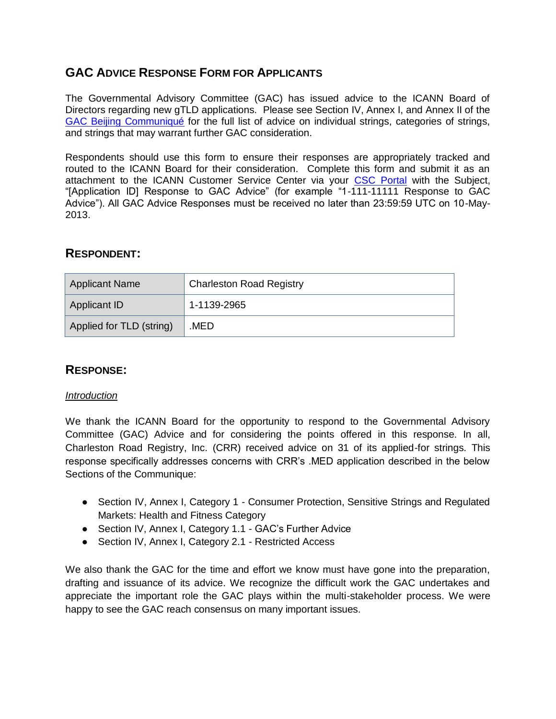# **GAC ADVICE RESPONSE FORM FOR APPLICANTS**

The Governmental Advisory Committee (GAC) has issued advice to the ICANN Board of Directors regarding new gTLD applications. Please see Section IV, Annex I, and Annex II of the [GAC Beijing Communiqué](http://www.icann.org/en/news/correspondence/gac-to-board-18apr13-en.pdf) for the full list of advice on individual strings, categories of strings, and strings that may warrant further GAC consideration.

Respondents should use this form to ensure their responses are appropriately tracked and routed to the ICANN Board for their consideration. Complete this form and submit it as an attachment to the ICANN Customer Service Center via your [CSC Portal](https://myicann.secure.force.com/) with the Subject, "[Application ID] Response to GAC Advice" (for example "1-111-11111 Response to GAC Advice"). All GAC Advice Responses must be received no later than 23:59:59 UTC on 10-May-2013.

## **RESPONDENT:**

| Applicant Name           | <b>Charleston Road Registry</b> |
|--------------------------|---------------------------------|
| Applicant ID             | $1-1139-2965$                   |
| Applied for TLD (string) | .MED                            |

## **RESPONSE:**

#### *Introduction*

We thank the ICANN Board for the opportunity to respond to the Governmental Advisory Committee (GAC) Advice and for considering the points offered in this response. In all, Charleston Road Registry, Inc. (CRR) received advice on 31 of its applied-for strings. This response specifically addresses concerns with CRR's .MED application described in the below Sections of the Communique:

- Section IV, Annex I, Category 1 Consumer Protection, Sensitive Strings and Regulated Markets: Health and Fitness Category
- Section IV, Annex I, Category 1.1 GAC's Further Advice
- Section IV, Annex I, Category 2.1 Restricted Access

We also thank the GAC for the time and effort we know must have gone into the preparation, drafting and issuance of its advice. We recognize the difficult work the GAC undertakes and appreciate the important role the GAC plays within the multi-stakeholder process. We were happy to see the GAC reach consensus on many important issues.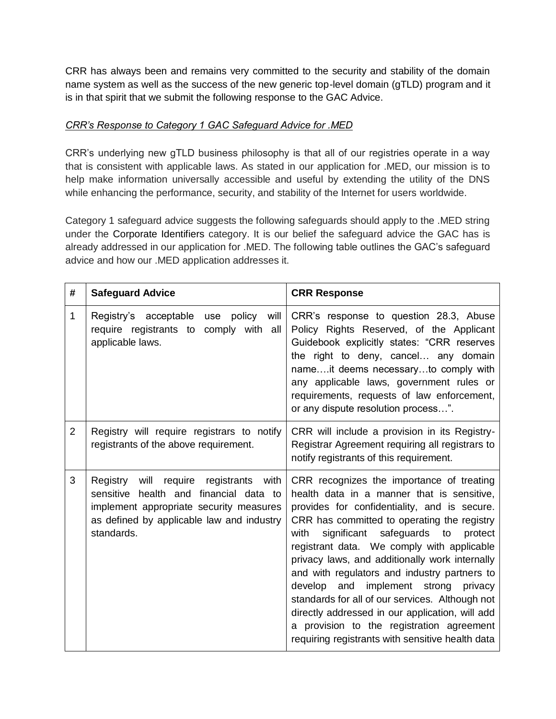CRR has always been and remains very committed to the security and stability of the domain name system as well as the success of the new generic top-level domain (gTLD) program and it is in that spirit that we submit the following response to the GAC Advice.

#### *CRR's Response to Category 1 GAC Safeguard Advice for .MED*

CRR's underlying new gTLD business philosophy is that all of our registries operate in a way that is consistent with applicable laws. As stated in our application for .MED, our mission is to help make information universally accessible and useful by extending the utility of the DNS while enhancing the performance, security, and stability of the Internet for users worldwide.

Category 1 safeguard advice suggests the following safeguards should apply to the .MED string under the Corporate Identifiers category. It is our belief the safeguard advice the GAC has is already addressed in our application for .MED. The following table outlines the GAC's safeguard advice and how our .MED application addresses it.

| #              | <b>Safeguard Advice</b>                                                                                                                                                                            | <b>CRR Response</b>                                                                                                                                                                                                                                                                                                                                                                                                                                                                                                                                                                                                                         |
|----------------|----------------------------------------------------------------------------------------------------------------------------------------------------------------------------------------------------|---------------------------------------------------------------------------------------------------------------------------------------------------------------------------------------------------------------------------------------------------------------------------------------------------------------------------------------------------------------------------------------------------------------------------------------------------------------------------------------------------------------------------------------------------------------------------------------------------------------------------------------------|
| 1              | policy<br>Registry's acceptable<br>will<br>use<br>require registrants to comply with all<br>applicable laws.                                                                                       | CRR's response to question 28.3, Abuse<br>Policy Rights Reserved, of the Applicant<br>Guidebook explicitly states: "CRR reserves<br>the right to deny, cancel any domain<br>nameit deems necessaryto comply with<br>any applicable laws, government rules or<br>requirements, requests of law enforcement,<br>or any dispute resolution process".                                                                                                                                                                                                                                                                                           |
| $\overline{2}$ | Registry will require registrars to notify<br>registrants of the above requirement.                                                                                                                | CRR will include a provision in its Registry-<br>Registrar Agreement requiring all registrars to<br>notify registrants of this requirement.                                                                                                                                                                                                                                                                                                                                                                                                                                                                                                 |
| 3              | Registry<br>will<br>require<br>registrants<br>with<br>sensitive health and financial data to<br>implement appropriate security measures<br>as defined by applicable law and industry<br>standards. | CRR recognizes the importance of treating<br>health data in a manner that is sensitive,<br>provides for confidentiality, and is secure.<br>CRR has committed to operating the registry<br>significant safeguards to<br>with<br>protect<br>registrant data. We comply with applicable<br>privacy laws, and additionally work internally<br>and with regulators and industry partners to<br>develop and<br>implement strong<br>privacy<br>standards for all of our services. Although not<br>directly addressed in our application, will add<br>a provision to the registration agreement<br>requiring registrants with sensitive health data |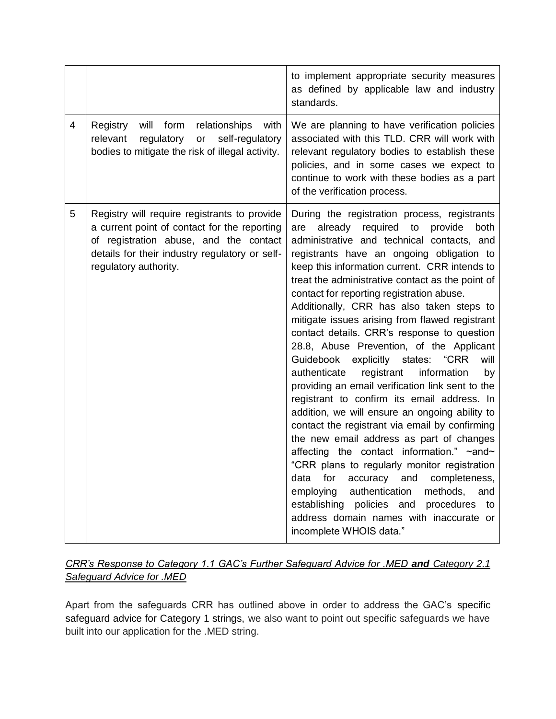|                |                                                                                                                                                                                                                   | to implement appropriate security measures<br>as defined by applicable law and industry<br>standards.                                                                                                                                                                                                                                                                                                                                                                                                                                                                                                                                                                                                                                                                                                                                                                                                                                                                                                                                                                                                                                                                                                                     |
|----------------|-------------------------------------------------------------------------------------------------------------------------------------------------------------------------------------------------------------------|---------------------------------------------------------------------------------------------------------------------------------------------------------------------------------------------------------------------------------------------------------------------------------------------------------------------------------------------------------------------------------------------------------------------------------------------------------------------------------------------------------------------------------------------------------------------------------------------------------------------------------------------------------------------------------------------------------------------------------------------------------------------------------------------------------------------------------------------------------------------------------------------------------------------------------------------------------------------------------------------------------------------------------------------------------------------------------------------------------------------------------------------------------------------------------------------------------------------------|
| $\overline{4}$ | Registry<br>will<br>form<br>relationships<br>with<br>relevant<br>regulatory<br>or<br>self-regulatory<br>bodies to mitigate the risk of illegal activity.                                                          | We are planning to have verification policies<br>associated with this TLD. CRR will work with<br>relevant regulatory bodies to establish these<br>policies, and in some cases we expect to<br>continue to work with these bodies as a part<br>of the verification process.                                                                                                                                                                                                                                                                                                                                                                                                                                                                                                                                                                                                                                                                                                                                                                                                                                                                                                                                                |
| 5              | Registry will require registrants to provide<br>a current point of contact for the reporting<br>of registration abuse, and the contact<br>details for their industry regulatory or self-<br>regulatory authority. | During the registration process, registrants<br>already<br>required<br>to<br>provide<br>both<br>are<br>administrative and technical contacts, and<br>registrants have an ongoing obligation to<br>keep this information current. CRR intends to<br>treat the administrative contact as the point of<br>contact for reporting registration abuse.<br>Additionally, CRR has also taken steps to<br>mitigate issues arising from flawed registrant<br>contact details. CRR's response to question<br>28.8, Abuse Prevention, of the Applicant<br>"CRR<br>Guidebook explicitly states:<br>will<br>authenticate<br>registrant<br>information<br>by<br>providing an email verification link sent to the<br>registrant to confirm its email address. In<br>addition, we will ensure an ongoing ability to<br>contact the registrant via email by confirming<br>the new email address as part of changes<br>affecting the contact information." ~and~<br>"CRR plans to regularly monitor registration<br>completeness,<br>data<br>for<br>accuracy<br>and<br>employing<br>authentication<br>methods,<br>and<br>establishing policies and<br>procedures<br>to<br>address domain names with inaccurate or<br>incomplete WHOIS data." |

## *CRR's Response to Category 1.1 GAC's Further Safeguard Advice for .MED and Category 2.1 Safeguard Advice for .MED*

Apart from the safeguards CRR has outlined above in order to address the GAC's specific safeguard advice for Category 1 strings, we also want to point out specific safeguards we have built into our application for the .MED string.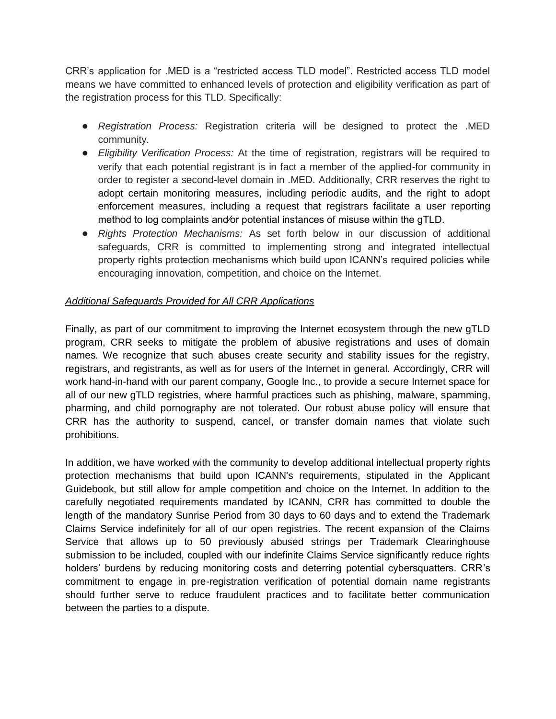CRR's application for .MED is a "restricted access TLD model". Restricted access TLD model means we have committed to enhanced levels of protection and eligibility verification as part of the registration process for this TLD. Specifically:

- *Registration Process:* Registration criteria will be designed to protect the .MED community.
- *Eligibility Verification Process:* At the time of registration, registrars will be required to verify that each potential registrant is in fact a member of the applied-for community in order to register a second-level domain in .MED. Additionally, CRR reserves the right to adopt certain monitoring measures, including periodic audits, and the right to adopt enforcement measures, including a request that registrars facilitate a user reporting method to log complaints and⁄or potential instances of misuse within the gTLD.
- *Rights Protection Mechanisms:* As set forth below in our discussion of additional safeguards, CRR is committed to implementing strong and integrated intellectual property rights protection mechanisms which build upon ICANN's required policies while encouraging innovation, competition, and choice on the Internet.

### *Additional Safeguards Provided for All CRR Applications*

Finally, as part of our commitment to improving the Internet ecosystem through the new gTLD program, CRR seeks to mitigate the problem of abusive registrations and uses of domain names. We recognize that such abuses create security and stability issues for the registry, registrars, and registrants, as well as for users of the Internet in general. Accordingly, CRR will work hand-in-hand with our parent company, Google Inc., to provide a secure Internet space for all of our new gTLD registries, where harmful practices such as phishing, malware, spamming, pharming, and child pornography are not tolerated. Our robust abuse policy will ensure that CRR has the authority to suspend, cancel, or transfer domain names that violate such prohibitions.

In addition, we have worked with the community to develop additional intellectual property rights protection mechanisms that build upon ICANN's requirements, stipulated in the Applicant Guidebook, but still allow for ample competition and choice on the Internet. In addition to the carefully negotiated requirements mandated by ICANN, CRR has committed to double the length of the mandatory Sunrise Period from 30 days to 60 days and to extend the Trademark Claims Service indefinitely for all of our open registries. The recent expansion of the Claims Service that allows up to 50 previously abused strings per Trademark Clearinghouse submission to be included, coupled with our indefinite Claims Service significantly reduce rights holders' burdens by reducing monitoring costs and deterring potential cybersquatters. CRR's commitment to engage in pre-registration verification of potential domain name registrants should further serve to reduce fraudulent practices and to facilitate better communication between the parties to a dispute.